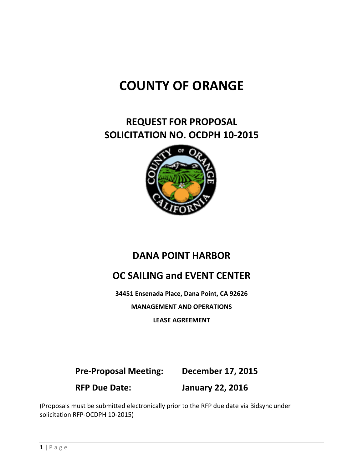# **COUNTY OF ORANGE**

# **REQUEST FOR PROPOSAL SOLICITATION NO. OCDPH 10-2015**



# **DANA POINT HARBOR**

# **OC SAILING and EVENT CENTER**

**34451 Ensenada Place, Dana Point, CA 92626**

**MANAGEMENT AND OPERATIONS**

**LEASE AGREEMENT**

**Pre-Proposal Meeting: December 17, 2015 RFP Due Date: January 22, 2016**

(Proposals must be submitted electronically prior to the RFP due date via Bidsync under solicitation RFP-OCDPH 10-2015)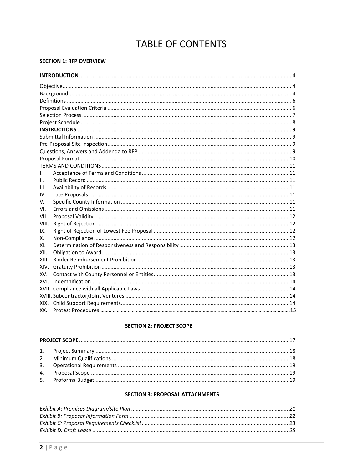# **TABLE OF CONTENTS**

#### **SECTION 1: RFP OVERVIEW**

| I.    |  |  |  |  |
|-------|--|--|--|--|
| Ш.    |  |  |  |  |
| III.  |  |  |  |  |
| IV.   |  |  |  |  |
| V.    |  |  |  |  |
| VI.   |  |  |  |  |
| VII.  |  |  |  |  |
| VIII. |  |  |  |  |
| IX.   |  |  |  |  |
| х.    |  |  |  |  |
| XI.   |  |  |  |  |
| XII.  |  |  |  |  |
| XIII. |  |  |  |  |
| XIV.  |  |  |  |  |
| XV.   |  |  |  |  |
| XVI.  |  |  |  |  |
|       |  |  |  |  |
|       |  |  |  |  |
| XIX.  |  |  |  |  |
| XX.   |  |  |  |  |

#### **SECTION 2: PROJECT SCOPE**

#### **SECTION 3: PROPOSAL ATTACHMENTS**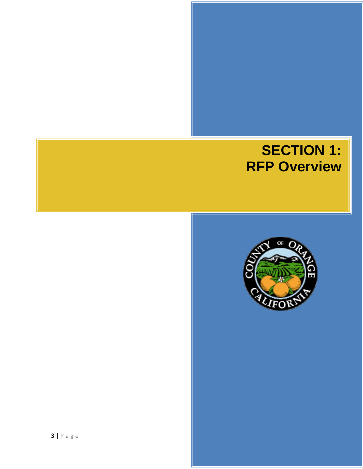# **SECTION 1: RFP Overview**

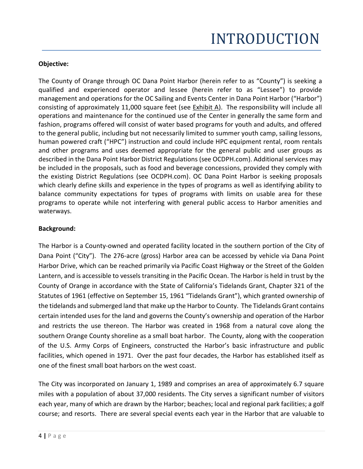# INTRODUCTION

# **Objective:**

The County of Orange through OC Dana Point Harbor (herein refer to as "County") is seeking a qualified and experienced operator and lessee (herein refer to as "Lessee") to provide management and operations for the OC Sailing and Events Center in Dana Point Harbor ("Harbor") consisting of approximately 11,000 square feet (see Exhibit A). The responsibility will include all operations and maintenance for the continued use of the Center in generally the same form and fashion, programs offered will consist of water based programs for youth and adults, and offered to the general public, including but not necessarily limited to summer youth camp, sailing lessons, human powered craft ("HPC") instruction and could include HPC equipment rental, room rentals and other programs and uses deemed appropriate for the general public and user groups as described in the Dana Point Harbor District Regulations (see OCDPH.com). Additional services may be included in the proposals, such as food and beverage concessions, provided they comply with the existing District Regulations (see OCDPH.com). OC Dana Point Harbor is seeking proposals which clearly define skills and experience in the types of programs as well as identifying ability to balance community expectations for types of programs with limits on usable area for these programs to operate while not interfering with general public access to Harbor amenities and waterways.

# **Background:**

The Harbor is a County-owned and operated facility located in the southern portion of the City of Dana Point ("City"). The 276-acre (gross) Harbor area can be accessed by vehicle via Dana Point Harbor Drive, which can be reached primarily via Pacific Coast Highway or the Street of the Golden Lantern, and is accessible to vessels transiting in the Pacific Ocean. The Harbor is held in trust by the County of Orange in accordance with the State of California's Tidelands Grant, Chapter 321 of the Statutes of 1961 (effective on September 15, 1961 "Tidelands Grant"), which granted ownership of the tidelands and submerged land that make up the Harbor to County. The Tidelands Grant contains certain intended uses for the land and governs the County's ownership and operation of the Harbor and restricts the use thereon. The Harbor was created in 1968 from a natural cove along the southern Orange County shoreline as a small boat harbor. The County, along with the cooperation of the U.S. Army Corps of Engineers, constructed the Harbor's basic infrastructure and public facilities, which opened in 1971. Over the past four decades, the Harbor has established itself as one of the finest small boat harbors on the west coast.

The City was incorporated on January 1, 1989 and comprises an area of approximately 6.7 square miles with a population of about 37,000 residents. The City serves a significant number of visitors each year, many of which are drawn by the Harbor; beaches; local and regional park facilities; a golf course; and resorts. There are several special events each year in the Harbor that are valuable to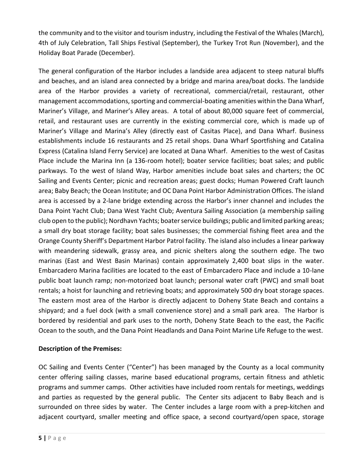the community and to the visitor and tourism industry, including the Festival of the Whales (March), 4th of July Celebration, Tall Ships Festival (September), the Turkey Trot Run (November), and the Holiday Boat Parade (December).

The general configuration of the Harbor includes a landside area adjacent to steep natural bluffs and beaches, and an island area connected by a bridge and marina area/boat docks. The landside area of the Harbor provides a variety of recreational, commercial/retail, restaurant, other management accommodations, sporting and commercial-boating amenities within the Dana Wharf, Mariner's Village, and Mariner's Alley areas. A total of about 80,000 square feet of commercial, retail, and restaurant uses are currently in the existing commercial core, which is made up of Mariner's Village and Marina's Alley (directly east of Casitas Place), and Dana Wharf. Business establishments include 16 restaurants and 25 retail shops. Dana Wharf Sportfishing and Catalina Express (Catalina Island Ferry Service) are located at Dana Wharf. Amenities to the west of Casitas Place include the Marina Inn (a 136-room hotel); boater service facilities; boat sales; and public parkways. To the west of Island Way, Harbor amenities include boat sales and charters; the OC Sailing and Events Center; picnic and recreation areas; guest docks; Human Powered Craft launch area; Baby Beach; the Ocean Institute; and OC Dana Point Harbor Administration Offices. The island area is accessed by a 2-lane bridge extending across the Harbor's inner channel and includes the Dana Point Yacht Club; Dana West Yacht Club; Aventura Sailing Association (a membership sailing club open to the public); Nordhavn Yachts; boater service buildings; public and limited parking areas; a small dry boat storage facility; boat sales businesses; the commercial fishing fleet area and the Orange County Sheriff's Department Harbor Patrol facility. The island also includes a linear parkway with meandering sidewalk, grassy area, and picnic shelters along the southern edge. The two marinas (East and West Basin Marinas) contain approximately 2,400 boat slips in the water. Embarcadero Marina facilities are located to the east of Embarcadero Place and include a 10-lane public boat launch ramp; non-motorized boat launch; personal water craft (PWC) and small boat rentals; a hoist for launching and retrieving boats; and approximately 500 dry boat storage spaces. The eastern most area of the Harbor is directly adjacent to Doheny State Beach and contains a shipyard; and a fuel dock (with a small convenience store) and a small park area. The Harbor is bordered by residential and park uses to the north, Doheny State Beach to the east, the Pacific Ocean to the south, and the Dana Point Headlands and Dana Point Marine Life Refuge to the west.

# **Description of the Premises:**

OC Sailing and Events Center ("Center") has been managed by the County as a local community center offering sailing classes, marine based educational programs, certain fitness and athletic programs and summer camps. Other activities have included room rentals for meetings, weddings and parties as requested by the general public. The Center sits adjacent to Baby Beach and is surrounded on three sides by water. The Center includes a large room with a prep-kitchen and adjacent courtyard, smaller meeting and office space, a second courtyard/open space, storage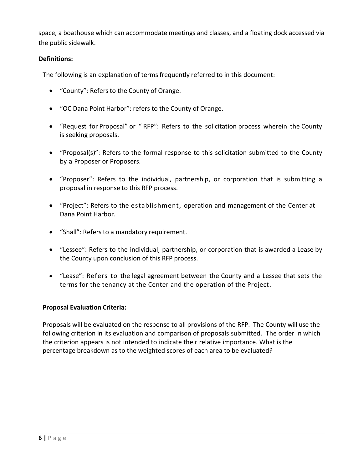space, a boathouse which can accommodate meetings and classes, and a floating dock accessed via the public sidewalk.

# **Definitions:**

The following is an explanation of terms frequently referred to in this document:

- "County": Refers to the County of Orange.
- "OC Dana Point Harbor": refers to the County of Orange.
- "Request for Proposal" or " RFP": Refers to the solicitation process wherein the County is seeking proposals.
- "Proposal(s)": Refers to the formal response to this solicitation submitted to the County by a Proposer or Proposers.
- "Proposer": Refers to the individual, partnership, or corporation that is submitting a proposal in response to this RFP process.
- "Project": Refers to the establishment, operation and management of the Center at Dana Point Harbor.
- "Shall": Refers to a mandatory requirement.
- "Lessee": Refers to the individual, partnership, or corporation that is awarded a Lease by the County upon conclusion of this RFP process.
- "Lease": Refers to the legal agreement between the County and a Lessee that sets the terms for the tenancy at the Center and the operation of the Project.

# **Proposal Evaluation Criteria:**

Proposals will be evaluated on the response to all provisions of the RFP. The County will use the following criterion in its evaluation and comparison of proposals submitted. The order in which the criterion appears is not intended to indicate their relative importance. What is the percentage breakdown as to the weighted scores of each area to be evaluated?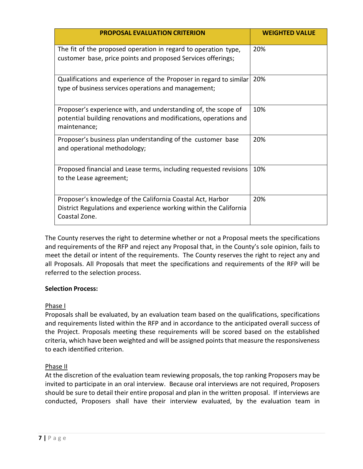| <b>PROPOSAL EVALUATION CRITERION</b>                                                                                                               | <b>WEIGHTED VALUE</b> |
|----------------------------------------------------------------------------------------------------------------------------------------------------|-----------------------|
| The fit of the proposed operation in regard to operation type,<br>customer base, price points and proposed Services offerings;                     | 20%                   |
| Qualifications and experience of the Proposer in regard to similar<br>type of business services operations and management;                         | 20%                   |
| Proposer's experience with, and understanding of, the scope of<br>potential building renovations and modifications, operations and<br>maintenance; | 10%                   |
| Proposer's business plan understanding of the customer base<br>and operational methodology;                                                        | 20%                   |
| Proposed financial and Lease terms, including requested revisions<br>to the Lease agreement;                                                       | 10%                   |
| Proposer's knowledge of the California Coastal Act, Harbor<br>District Regulations and experience working within the California<br>Coastal Zone.   | 20%                   |

The County reserves the right to determine whether or not a Proposal meets the specifications and requirements of the RFP and reject any Proposal that, in the County's sole opinion, fails to meet the detail or intent of the requirements. The County reserves the right to reject any and all Proposals. All Proposals that meet the specifications and requirements of the RFP will be referred to the selection process.

# **Selection Process:**

# Phase I

Proposals shall be evaluated, by an evaluation team based on the qualifications, specifications and requirements listed within the RFP and in accordance to the anticipated overall success of the Project. Proposals meeting these requirements will be scored based on the established criteria, which have been weighted and will be assigned points that measure the responsiveness to each identified criterion.

# Phase II

At the discretion of the evaluation team reviewing proposals, the top ranking Proposers may be invited to participate in an oral interview. Because oral interviews are not required, Proposers should be sure to detail their entire proposal and plan in the written proposal. If interviews are conducted, Proposers shall have their interview evaluated, by the evaluation team in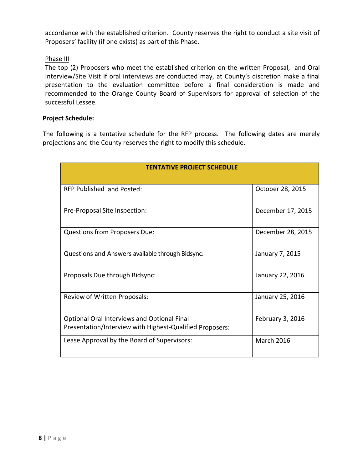accordance with the established criterion. County reserves the right to conduct a site visit of Proposers' facility (if one exists) as part of this Phase.

## Phase III

The top (2) Proposers who meet the established criterion on the written Proposal, and Oral Interview/Site Visit if oral interviews are conducted may, at County's discretion make a final presentation to the evaluation committee before a final consideration is made and recommended to the Orange County Board of Supervisors for approval of selection of the successful Lessee.

# **Project Schedule:**

The following is a tentative schedule for the RFP process. The following dates are merely projections and the County reserves the right to modify this schedule.

| <b>TENTATIVE PROJECT SCHEDULE</b>                                                                              |                   |  |  |
|----------------------------------------------------------------------------------------------------------------|-------------------|--|--|
| RFP Published and Posted:                                                                                      | October 28, 2015  |  |  |
| Pre-Proposal Site Inspection:                                                                                  | December 17, 2015 |  |  |
| <b>Questions from Proposers Due:</b>                                                                           | December 28, 2015 |  |  |
| Questions and Answers available through Bidsync:                                                               | January 7, 2015   |  |  |
| Proposals Due through Bidsync:                                                                                 | January 22, 2016  |  |  |
| Review of Written Proposals:                                                                                   | January 25, 2016  |  |  |
| <b>Optional Oral Interviews and Optional Final</b><br>Presentation/Interview with Highest-Qualified Proposers: | February 3, 2016  |  |  |
| Lease Approval by the Board of Supervisors:                                                                    | <b>March 2016</b> |  |  |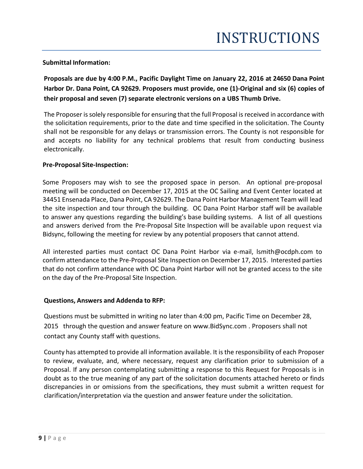### **Submittal Information:**

**Proposals are due by 4:00 P.M., Pacific Daylight Time on January 22, 2016 at 24650 Dana Point Harbor Dr. Dana Point, CA 92629. Proposers must provide, one (1)-Original and six (6) copies of their proposal and seven (7) separate electronic versions on a UBS Thumb Drive.**

The Proposer is solely responsible for ensuring that the full Proposal is received in accordance with the solicitation requirements, prior to the date and time specified in the solicitation. The County shall not be responsible for any delays or transmission errors. The County is not responsible for and accepts no liability for any technical problems that result from conducting business electronically.

#### **Pre-Proposal Site-Inspection:**

Some Proposers may wish to see the proposed space in person. An optional pre-proposal meeting will be conducted on December 17, 2015 at the OC Sailing and Event Center located at 34451 Ensenada Place, Dana Point, CA 92629. The Dana Point Harbor Management Team will lead the site inspection and tour through the building. OC Dana Point Harbor staff will be available to answer any questions regarding the building's base building systems. A list of all questions and answers derived from the Pre-Proposal Site Inspection will be available upon request via Bidsync, following the meeting for review by any potential proposers that cannot attend.

All interested parties must contact OC Dana Point Harbor via e-mail, lsmith@ocdph.com to confirm attendance to the Pre-Proposal Site Inspection on December 17, 2015. Interested parties that do not confirm attendance with OC Dana Point Harbor will not be granted access to the site on the day of the Pre-Proposal Site Inspection.

#### **Questions, Answers and Addenda to RFP:**

Questions must be submitted in writing no later than 4:00 pm, Pacific Time on December 28, 2015 through the question and answer feature on www.BidSync.com . Proposers shall not contact any County staff with questions.

County has attempted to provide all information available. It is the responsibility of each Proposer to review, evaluate, and, where necessary, request any clarification prior to submission of a Proposal. If any person contemplating submitting a response to this Request for Proposals is in doubt as to the true meaning of any part of the solicitation documents attached hereto or finds discrepancies in or omissions from the specifications, they must submit a written request for clarification/interpretation via the question and answer feature under the solicitation.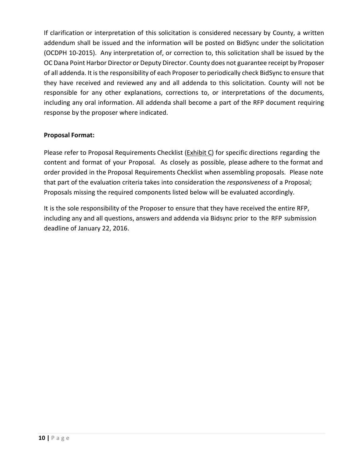If clarification or interpretation of this solicitation is considered necessary by County, a written addendum shall be issued and the information will be posted on BidSync under the solicitation (OCDPH 10-2015). Any interpretation of, or correction to, this solicitation shall be issued by the OC Dana Point Harbor Director or Deputy Director. County does not guarantee receipt by Proposer of all addenda. It is the responsibility of each Proposer to periodically check BidSync to ensure that they have received and reviewed any and all addenda to this solicitation. County will not be responsible for any other explanations, corrections to, or interpretations of the documents, including any oral information. All addenda shall become a part of the RFP document requiring response by the proposer where indicated.

# **Proposal Format:**

Please refer to Proposal Requirements Checklist (Exhibit C) for specific directions regarding the content and format of your Proposal. As closely as possible, please adhere to the format and order provided in the Proposal Requirements Checklist when assembling proposals. Please note that part of the evaluation criteria takes into consideration the *responsiveness* of a Proposal; Proposals missing the required components listed below will be evaluated accordingly.

It is the sole responsibility of the Proposer to ensure that they have received the entire RFP, including any and all questions, answers and addenda via Bidsync prior to the RFP submission deadline of January 22, 2016.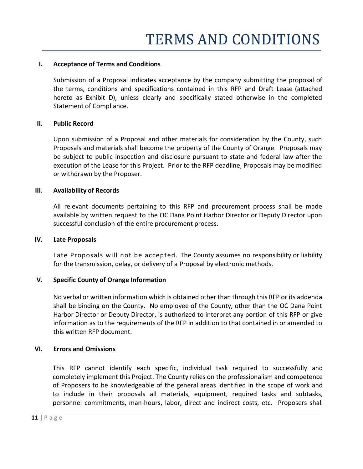#### **I. Acceptance of Terms and Conditions**

Submission of a Proposal indicates acceptance by the company submitting the proposal of the terms, conditions and specifications contained in this RFP and Draft Lease (attached hereto as **Exhibit D**), unless clearly and specifically stated otherwise in the completed Statement of Compliance.

#### **II. Public Record**

Upon submission of a Proposal and other materials for consideration by the County, such Proposals and materials shall become the property of the County of Orange. Proposals may be subject to public inspection and disclosure pursuant to state and federal law after the execution of the Lease for this Project. Prior to the RFP deadline, Proposals may be modified or withdrawn by the Proposer.

#### **III. Availability of Records**

All relevant documents pertaining to this RFP and procurement process shall be made available by written request to the OC Dana Point Harbor Director or Deputy Director upon successful conclusion of the entire procurement process.

#### **IV. Late Proposals**

Late Proposals will not be accepted. The County assumes no responsibility or liability for the transmission, delay, or delivery of a Proposal by electronic methods.

#### **V. Specific County of Orange Information**

No verbal or written information which is obtained other than through this RFP or its addenda shall be binding on the County. No employee of the County, other than the OC Dana Point Harbor Director or Deputy Director, is authorized to interpret any portion of this RFP or give information as to the requirements of the RFP in addition to that contained in or amended to this written RFP document.

#### **VI. Errors and Omissions**

This RFP cannot identify each specific, individual task required to successfully and completely implement this Project. The County relies on the professionalism and competence of Proposers to be knowledgeable of the general areas identified in the scope of work and to include in their proposals all materials, equipment, required tasks and subtasks, personnel commitments, man-hours, labor, direct and indirect costs, etc. Proposers shall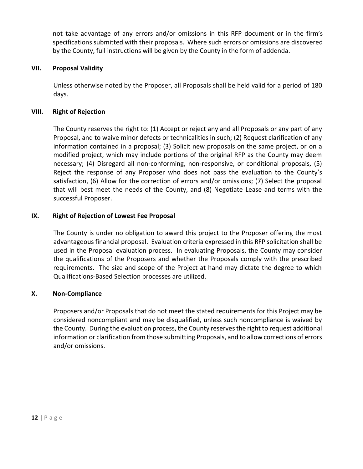not take advantage of any errors and/or omissions in this RFP document or in the firm's specifications submitted with their proposals. Where such errors or omissions are discovered by the County, full instructions will be given by the County in the form of addenda.

## **VII. Proposal Validity**

Unless otherwise noted by the Proposer, all Proposals shall be held valid for a period of 180 days.

### **VIII. Right of Rejection**

The County reserves the right to: (1) Accept or reject any and all Proposals or any part of any Proposal, and to waive minor defects or technicalities in such; (2) Request clarification of any information contained in a proposal; (3) Solicit new proposals on the same project, or on a modified project, which may include portions of the original RFP as the County may deem necessary; (4) Disregard all non-conforming, non-responsive, or conditional proposals, (5) Reject the response of any Proposer who does not pass the evaluation to the County's satisfaction, (6) Allow for the correction of errors and/or omissions; (7) Select the proposal that will best meet the needs of the County, and (8) Negotiate Lease and terms with the successful Proposer.

### **IX. Right of Rejection of Lowest Fee Proposal**

The County is under no obligation to award this project to the Proposer offering the most advantageous financial proposal. Evaluation criteria expressed in this RFP solicitation shall be used in the Proposal evaluation process. In evaluating Proposals, the County may consider the qualifications of the Proposers and whether the Proposals comply with the prescribed requirements. The size and scope of the Project at hand may dictate the degree to which Qualifications-Based Selection processes are utilized.

# **X. Non-Compliance**

Proposers and/or Proposals that do not meet the stated requirements for this Project may be considered noncompliant and may be disqualified, unless such noncompliance is waived by the County. During the evaluation process, the County reserves the right to request additional information or clarification from those submitting Proposals, and to allow corrections of errors and/or omissions.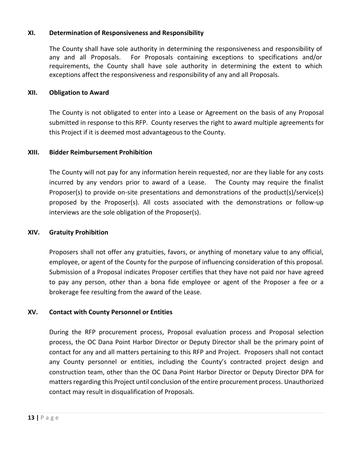### **XI. Determination of Responsiveness and Responsibility**

The County shall have sole authority in determining the responsiveness and responsibility of any and all Proposals. For Proposals containing exceptions to specifications and/or requirements, the County shall have sole authority in determining the extent to which exceptions affect the responsiveness and responsibility of any and all Proposals.

#### **XII. Obligation to Award**

The County is not obligated to enter into a Lease or Agreement on the basis of any Proposal submitted in response to this RFP. County reserves the right to award multiple agreements for this Project if it is deemed most advantageous to the County.

#### **XIII. Bidder Reimbursement Prohibition**

The County will not pay for any information herein requested, nor are they liable for any costs incurred by any vendors prior to award of a Lease. The County may require the finalist Proposer(s) to provide on-site presentations and demonstrations of the product(s)/service(s) proposed by the Proposer(s). All costs associated with the demonstrations or follow-up interviews are the sole obligation of the Proposer(s).

#### **XIV. Gratuity Prohibition**

Proposers shall not offer any gratuities, favors, or anything of monetary value to any official, employee, or agent of the County for the purpose of influencing consideration of this proposal. Submission of a Proposal indicates Proposer certifies that they have not paid nor have agreed to pay any person, other than a bona fide employee or agent of the Proposer a fee or a brokerage fee resulting from the award of the Lease.

#### **XV. Contact with County Personnel or Entities**

During the RFP procurement process, Proposal evaluation process and Proposal selection process, the OC Dana Point Harbor Director or Deputy Director shall be the primary point of contact for any and all matters pertaining to this RFP and Project. Proposers shall not contact any County personnel or entities, including the County's contracted project design and construction team, other than the OC Dana Point Harbor Director or Deputy Director DPA for matters regarding this Project until conclusion of the entire procurement process. Unauthorized contact may result in disqualification of Proposals.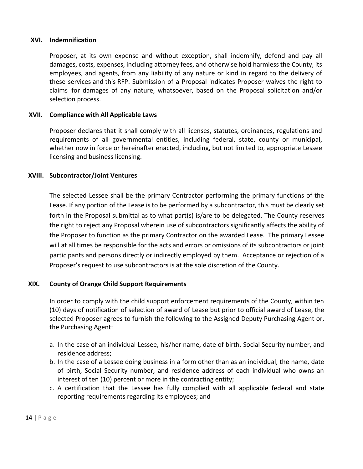#### **XVI. Indemnification**

Proposer, at its own expense and without exception, shall indemnify, defend and pay all damages, costs, expenses, including attorney fees, and otherwise hold harmless the County, its employees, and agents, from any liability of any nature or kind in regard to the delivery of these services and this RFP. Submission of a Proposal indicates Proposer waives the right to claims for damages of any nature, whatsoever, based on the Proposal solicitation and/or selection process.

#### **XVII. Compliance with All Applicable Laws**

Proposer declares that it shall comply with all licenses, statutes, ordinances, regulations and requirements of all governmental entities, including federal, state, county or municipal, whether now in force or hereinafter enacted, including, but not limited to, appropriate Lessee licensing and business licensing.

#### **XVIII. Subcontractor/Joint Ventures**

The selected Lessee shall be the primary Contractor performing the primary functions of the Lease. If any portion of the Lease is to be performed by a subcontractor, this must be clearly set forth in the Proposal submittal as to what part(s) is/are to be delegated. The County reserves the right to reject any Proposal wherein use of subcontractors significantly affects the ability of the Proposer to function as the primary Contractor on the awarded Lease. The primary Lessee will at all times be responsible for the acts and errors or omissions of its subcontractors or joint participants and persons directly or indirectly employed by them. Acceptance or rejection of a Proposer's request to use subcontractors is at the sole discretion of the County.

#### **XIX. County of Orange Child Support Requirements**

In order to comply with the child support enforcement requirements of the County, within ten (10) days of notification of selection of award of Lease but prior to official award of Lease, the selected Proposer agrees to furnish the following to the Assigned Deputy Purchasing Agent or, the Purchasing Agent:

- a. In the case of an individual Lessee, his/her name, date of birth, Social Security number, and residence address;
- b. In the case of a Lessee doing business in a form other than as an individual, the name, date of birth, Social Security number, and residence address of each individual who owns an interest of ten (10) percent or more in the contracting entity;
- c. A certification that the Lessee has fully complied with all applicable federal and state reporting requirements regarding its employees; and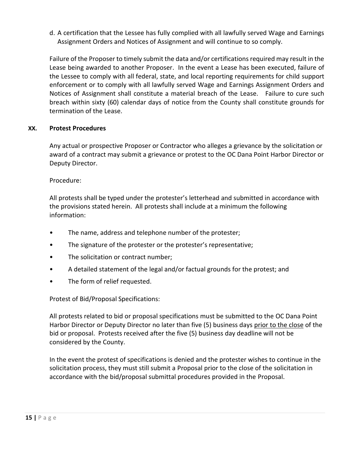d. A certification that the Lessee has fully complied with all lawfully served Wage and Earnings Assignment Orders and Notices of Assignment and will continue to so comply.

Failure of the Proposer to timely submit the data and/or certifications required may result in the Lease being awarded to another Proposer. In the event a Lease has been executed, failure of the Lessee to comply with all federal, state, and local reporting requirements for child support enforcement or to comply with all lawfully served Wage and Earnings Assignment Orders and Notices of Assignment shall constitute a material breach of the Lease. Failure to cure such breach within sixty (60) calendar days of notice from the County shall constitute grounds for termination of the Lease.

# **XX. Protest Procedures**

Any actual or prospective Proposer or Contractor who alleges a grievance by the solicitation or award of a contract may submit a grievance or protest to the OC Dana Point Harbor Director or Deputy Director.

Procedure:

All protests shall be typed under the protester's letterhead and submitted in accordance with the provisions stated herein. All protests shall include at a minimum the following information:

- The name, address and telephone number of the protester;
- The signature of the protester or the protester's representative;
- The solicitation or contract number;
- A detailed statement of the legal and/or factual grounds for the protest; and
- The form of relief requested.

Protest of Bid/Proposal Specifications:

All protests related to bid or proposal specifications must be submitted to the OC Dana Point Harbor Director or Deputy Director no later than five (5) business days prior to the close of the bid or proposal. Protests received after the five (5) business day deadline will not be considered by the County.

In the event the protest of specifications is denied and the protester wishes to continue in the solicitation process, they must still submit a Proposal prior to the close of the solicitation in accordance with the bid/proposal submittal procedures provided in the Proposal.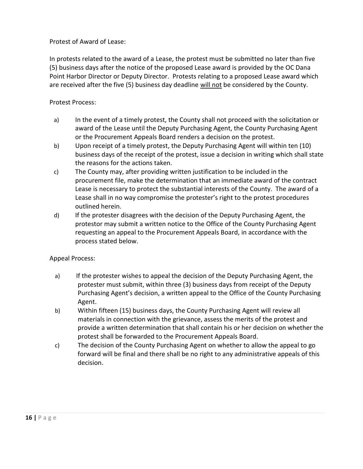Protest of Award of Lease:

In protests related to the award of a Lease, the protest must be submitted no later than five (5) business days after the notice of the proposed Lease award is provided by the OC Dana Point Harbor Director or Deputy Director. Protests relating to a proposed Lease award which are received after the five (5) business day deadline will not be considered by the County.

# Protest Process:

- a) In the event of a timely protest, the County shall not proceed with the solicitation or award of the Lease until the Deputy Purchasing Agent, the County Purchasing Agent or the Procurement Appeals Board renders a decision on the protest.
- b) Upon receipt of a timely protest, the Deputy Purchasing Agent will within ten (10) business days of the receipt of the protest, issue a decision in writing which shall state the reasons for the actions taken.
- c) The County may, after providing written justification to be included in the procurement file, make the determination that an immediate award of the contract Lease is necessary to protect the substantial interests of the County. The award of a Lease shall in no way compromise the protester's right to the protest procedures outlined herein.
- d) If the protester disagrees with the decision of the Deputy Purchasing Agent, the protestor may submit a written notice to the Office of the County Purchasing Agent requesting an appeal to the Procurement Appeals Board, in accordance with the process stated below.

# Appeal Process:

- a) If the protester wishes to appeal the decision of the Deputy Purchasing Agent, the protester must submit, within three (3) business days from receipt of the Deputy Purchasing Agent's decision, a written appeal to the Office of the County Purchasing Agent.
- b) Within fifteen (15) business days, the County Purchasing Agent will review all materials in connection with the grievance, assess the merits of the protest and provide a written determination that shall contain his or her decision on whether the protest shall be forwarded to the Procurement Appeals Board.
- c) The decision of the County Purchasing Agent on whether to allow the appeal to go forward will be final and there shall be no right to any administrative appeals of this decision.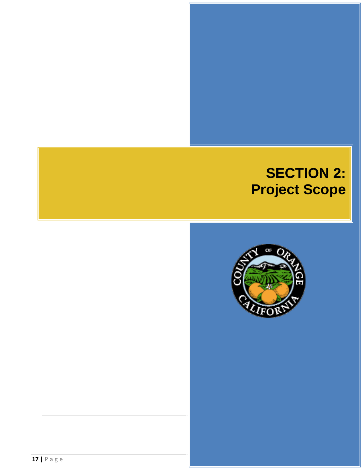# **SECTION 2: Project Scope**

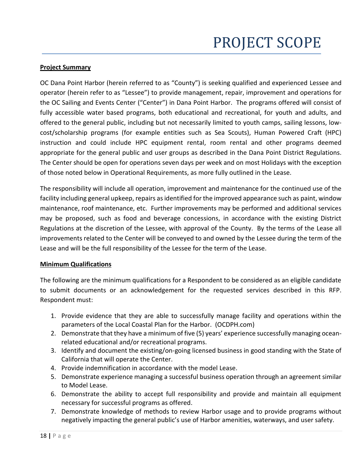### **Project Summary**

OC Dana Point Harbor (herein referred to as "County") is seeking qualified and experienced Lessee and operator (herein refer to as "Lessee") to provide management, repair, improvement and operations for the OC Sailing and Events Center ("Center") in Dana Point Harbor. The programs offered will consist of fully accessible water based programs, both educational and recreational, for youth and adults, and offered to the general public, including but not necessarily limited to youth camps, sailing lessons, lowcost/scholarship programs (for example entities such as Sea Scouts), Human Powered Craft (HPC) instruction and could include HPC equipment rental, room rental and other programs deemed appropriate for the general public and user groups as described in the Dana Point District Regulations. The Center should be open for operations seven days per week and on most Holidays with the exception of those noted below in Operational Requirements, as more fully outlined in the Lease.

The responsibility will include all operation, improvement and maintenance for the continued use of the facility including general upkeep, repairs as identified for the improved appearance such as paint, window maintenance, roof maintenance, etc. Further improvements may be performed and additional services may be proposed, such as food and beverage concessions, in accordance with the existing District Regulations at the discretion of the Lessee, with approval of the County. By the terms of the Lease all improvements related to the Center will be conveyed to and owned by the Lessee during the term of the Lease and will be the full responsibility of the Lessee for the term of the Lease.

#### **Minimum Qualifications**

The following are the minimum qualifications for a Respondent to be considered as an eligible candidate to submit documents or an acknowledgement for the requested services described in this RFP. Respondent must:

- 1. Provide evidence that they are able to successfully manage facility and operations within the parameters of the Local Coastal Plan for the Harbor. (OCDPH.com)
- 2. Demonstrate that they have a minimum of five (5) years' experience successfully managing oceanrelated educational and/or recreational programs.
- 3. Identify and document the existing/on-going licensed business in good standing with the State of California that will operate the Center.
- 4. Provide indemnification in accordance with the model Lease.
- 5. Demonstrate experience managing a successful business operation through an agreement similar to Model Lease.
- 6. Demonstrate the ability to accept full responsibility and provide and maintain all equipment necessary for successful programs as offered.
- 7. Demonstrate knowledge of methods to review Harbor usage and to provide programs without negatively impacting the general public's use of Harbor amenities, waterways, and user safety.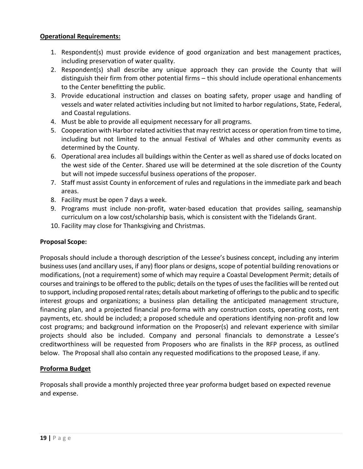### **Operational Requirements:**

- 1. Respondent(s) must provide evidence of good organization and best management practices, including preservation of water quality.
- 2. Respondent(s) shall describe any unique approach they can provide the County that will distinguish their firm from other potential firms – this should include operational enhancements to the Center benefitting the public.
- 3. Provide educational instruction and classes on boating safety, proper usage and handling of vessels and water related activities including but not limited to harbor regulations, State, Federal, and Coastal regulations.
- 4. Must be able to provide all equipment necessary for all programs.
- 5. Cooperation with Harbor related activities that may restrict access or operation from time to time, including but not limited to the annual Festival of Whales and other community events as determined by the County.
- 6. Operational area includes all buildings within the Center as well as shared use of docks located on the west side of the Center. Shared use will be determined at the sole discretion of the County but will not impede successful business operations of the proposer.
- 7. Staff must assist County in enforcement of rules and regulations in the immediate park and beach areas.
- 8. Facility must be open 7 days a week.
- 9. Programs must include non-profit, water-based education that provides sailing, seamanship curriculum on a low cost/scholarship basis, which is consistent with the Tidelands Grant.
- 10. Facility may close for Thanksgiving and Christmas.

# **Proposal Scope:**

Proposals should include a thorough description of the Lessee's business concept, including any interim business uses(and ancillary uses, if any) floor plans or designs, scope of potential building renovations or modifications, (not a requirement) some of which may require a Coastal Development Permit; details of courses and trainings to be offered to the public; details on the types of uses the facilities will be rented out to support, including proposed rental rates; details about marketing of offerings to the public and to specific interest groups and organizations; a business plan detailing the anticipated management structure, financing plan, and a projected financial pro-forma with any construction costs, operating costs, rent payments, etc. should be included; a proposed schedule and operations identifying non-profit and low cost programs; and background information on the Proposer(s) and relevant experience with similar projects should also be included. Company and personal financials to demonstrate a Lessee's creditworthiness will be requested from Proposers who are finalists in the RFP process, as outlined below. The Proposal shall also contain any requested modifications to the proposed Lease, if any.

# **Proforma Budget**

Proposals shall provide a monthly projected three year proforma budget based on expected revenue and expense.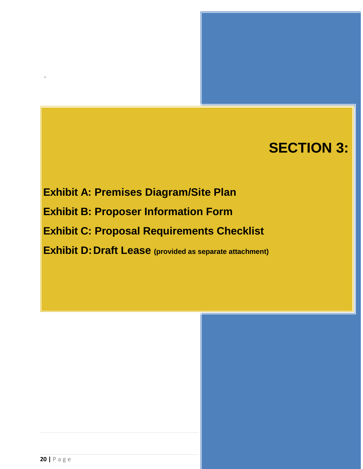# **SECTION 3:**

**Exhibit A: Premises Diagram/Site Plan Exhibit B: Proposer Information Form Exhibit C: Proposal Requirements Checklist Exhibit D:Draft Lease (provided as separate attachment)**

.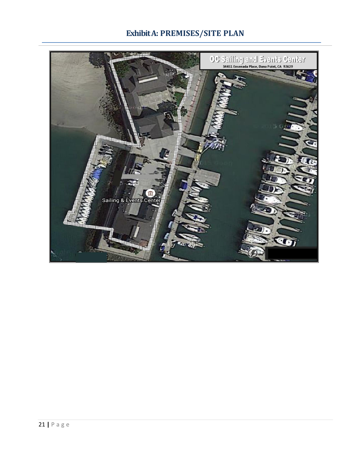# **Exhibit A: PREMISES/SITE PLAN**

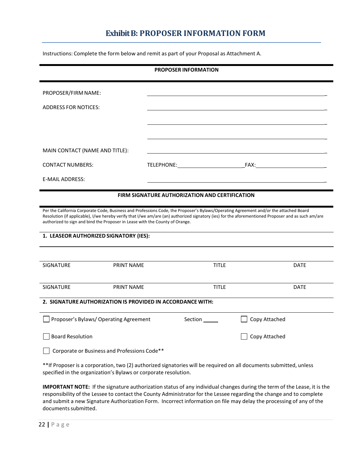# **Exhibit B: PROPOSER INFORMATION FORM**

Instructions: Complete the form below and remit as part of your Proposal as Attachment A.

| <b>PROPOSER INFORMATION</b>                                                                                                                                                                                                                                                                                                                                                                                           |                                                       |              |                      |  |  |  |  |
|-----------------------------------------------------------------------------------------------------------------------------------------------------------------------------------------------------------------------------------------------------------------------------------------------------------------------------------------------------------------------------------------------------------------------|-------------------------------------------------------|--------------|----------------------|--|--|--|--|
| PROPOSER/FIRM NAME:                                                                                                                                                                                                                                                                                                                                                                                                   |                                                       |              |                      |  |  |  |  |
| <b>ADDRESS FOR NOTICES:</b>                                                                                                                                                                                                                                                                                                                                                                                           |                                                       |              |                      |  |  |  |  |
|                                                                                                                                                                                                                                                                                                                                                                                                                       |                                                       |              |                      |  |  |  |  |
|                                                                                                                                                                                                                                                                                                                                                                                                                       |                                                       |              |                      |  |  |  |  |
| MAIN CONTACT (NAME AND TITLE):                                                                                                                                                                                                                                                                                                                                                                                        |                                                       |              |                      |  |  |  |  |
| <b>CONTACT NUMBERS:</b>                                                                                                                                                                                                                                                                                                                                                                                               |                                                       |              | TELEPHONE: FAX: FAX: |  |  |  |  |
| E-MAIL ADDRESS:                                                                                                                                                                                                                                                                                                                                                                                                       |                                                       |              |                      |  |  |  |  |
|                                                                                                                                                                                                                                                                                                                                                                                                                       | <b>FIRM SIGNATURE AUTHORIZATION AND CERTIFICATION</b> |              |                      |  |  |  |  |
| Per the California Corporate Code, Business and Professions Code, the Proposer's Bylaws/Operating Agreement and/or the attached Board<br>Resolution (if applicable), I/we hereby verify that I/we am/are (an) authorized signatory (ies) for the aforementioned Proposer and as such am/are<br>authorized to sign and bind the Proposer in Lease with the County of Orange.<br>1. LEASEOR AUTHORIZED SIGNATORY (IES): |                                                       |              |                      |  |  |  |  |
| <b>SIGNATURE</b><br><b>PRINT NAME</b>                                                                                                                                                                                                                                                                                                                                                                                 |                                                       | <b>TITLE</b> | <b>DATE</b>          |  |  |  |  |
| <b>SIGNATURE</b><br><b>PRINT NAME</b>                                                                                                                                                                                                                                                                                                                                                                                 |                                                       | <b>TITLE</b> | <b>DATE</b>          |  |  |  |  |
| 2. SIGNATURE AUTHORIZATION IS PROVIDED IN ACCORDANCE WITH:                                                                                                                                                                                                                                                                                                                                                            |                                                       |              |                      |  |  |  |  |
| Proposer's Bylaws/ Operating Agreement                                                                                                                                                                                                                                                                                                                                                                                |                                                       | Section      | Copy Attached        |  |  |  |  |
| <b>Board Resolution</b>                                                                                                                                                                                                                                                                                                                                                                                               |                                                       |              | Copy Attached        |  |  |  |  |
| Corporate or Business and Professions Code**                                                                                                                                                                                                                                                                                                                                                                          |                                                       |              |                      |  |  |  |  |
| **If Proposer is a corporation, two (2) authorized signatories will be required on all documents submitted, unless<br>specified in the organization's Bylaws or corporate resolution.                                                                                                                                                                                                                                 |                                                       |              |                      |  |  |  |  |
| IMPORTANT NOTE: If the signature authorization status of any individual changes during the term of the Lease, it is the                                                                                                                                                                                                                                                                                               |                                                       |              |                      |  |  |  |  |

responsibility of the Lessee to contact the County Administrator for the Lessee regarding the change and to complete and submit a new Signature Authorization Form. Incorrect information on file may delay the processing of any of the documents submitted.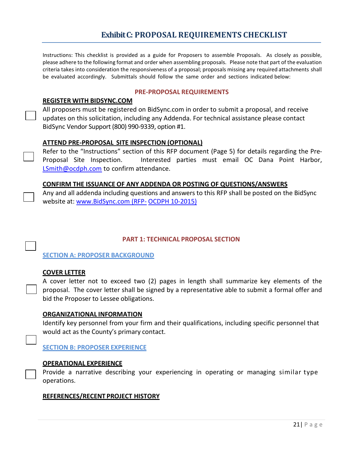Instructions: This checklist is provided as a guide for Proposers to assemble Proposals. As closely as possible, please adhere to the following format and order when assembling proposals. Please note that part of the evaluation criteria takes into consideration the responsiveness of a proposal; proposals missing any required attachments shall be evaluated accordingly. Submittals should follow the same order and sections indicated below:

#### **PRE-PROPOSAL REQUIREMENTS**

#### **REGISTER WITH BIDSYNC.COM**

All proposers must be registered on BidSync.com in order to submit a proposal, and receive updates on this solicitation, including any Addenda. For technical assistance please contact BidSync Vendor Support (800) 990-9339, option #1.

#### **ATTEND PRE-PROPOSAL SITE INSPECTION (OPTIONAL)**

Refer to the "Instructions" section of this RFP document (Page 5) for details regarding the Pre-Proposal Site Inspection. Interested parties must email OC Dana Point Harbor, [LSmith@ocdph.com](mailto:LSmith@ocdph.com) to confirm attendance.

#### **CONFIRM THE ISSUANCE OF ANY ADDENDA OR POSTING OF QUESTIONS/ANSWERS**

Any and all addenda including questions and answers to this RFP shall be posted on the BidSync website at: www.BidSync.com (RFP- OCDPH 10-2015)

#### **PART 1: TECHNICAL PROPOSAL SECTION**

#### **SECTION A: PROPOSER BACKGROUND**

#### **COVER LETTER**

A cover letter not to exceed two (2) pages in length shall summarize key elements of the proposal. The cover letter shall be signed by a representative able to submit a formal offer and bid the Proposer to Lessee obligations.

#### **ORGANIZATIONAL INFORMATION**

Identify key personnel from your firm and their qualifications, including specific personnel that would act as the County's primary contact.

**SECTION B: PROPOSER EXPERIENCE**

#### **OPERATIONAL EXPERIENCE**

Provide a narrative describing your experiencing in operating or managing similar type operations.

#### **REFERENCES/RECENT PROJECT HISTORY**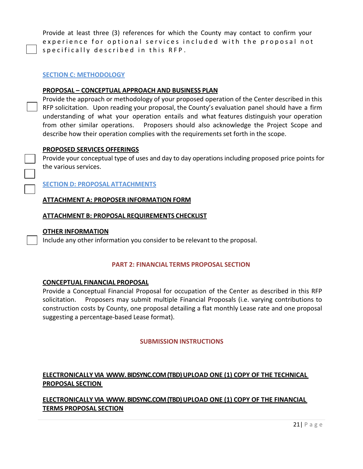Provide at least three (3) references for which the County may contact to confirm your experience for optional services included with the proposal not specifically described in this RFP.

#### **SECTION C: METHODOLOGY**

#### **PROPOSAL – CONCEPTUAL APPROACH AND BUSINESS PLAN**

Provide the approach or methodology of your proposed operation of the Center described in this RFP solicitation. Upon reading your proposal, the County's evaluation panel should have a firm understanding of what your operation entails and what features distinguish your operation from other similar operations. Proposers should also acknowledge the Project Scope and describe how their operation complies with the requirements set forth in the scope.

#### **PROPOSED SERVICES OFFERINGS**

Provide your conceptual type of uses and day to day operations including proposed price points for the various services.

**SECTION D: PROPOSAL ATTACHMENTS**

#### **ATTACHMENT A: PROPOSER INFORMATION FORM**

#### **ATTACHMENT B: PROPOSAL REQUIREMENTS CHECKLIST**

#### **OTHER INFORMATION**

Include any other information you consider to be relevant to the proposal.

#### **PART 2: FINANCIAL TERMS PROPOSAL SECTION**

#### **CONCEPTUAL FINANCIAL PROPOSAL**

Provide a Conceptual Financial Proposal for occupation of the Center as described in this RFP solicitation. Proposers may submit multiple Financial Proposals (i.e. varying contributions to construction costs by County, one proposal detailing a flat monthly Lease rate and one proposal suggesting a percentage-based Lease format).

#### **SUBMISSION INSTRUCTIONS**

# **ELECTRONICALLY VIA WWW. BIDSYNC.COM (TBD) UPLOAD ONE (1) COPY OF THE TECHNICAL PROPOSAL SECTION**

**ELECTRONICALLY VIA WWW. BIDSYNC.COM (TBD) UPLOAD ONE (1) COPY OF THE FINANCIAL TERMS PROPOSAL SECTION**